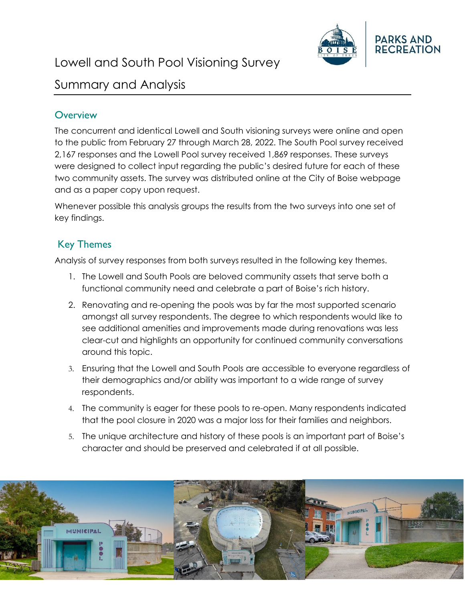

# Lowell and South Pool Visioning Survey

## Summary and Analysis

## **Overview**

The concurrent and identical Lowell and South visioning surveys were online and open to the public from February 27 through March 28, 2022. The South Pool survey received 2,167 responses and the Lowell Pool survey received 1,869 responses. These surveys were designed to collect input regarding the public's desired future for each of these two community assets. The survey was distributed online at the City of Boise webpage and as a paper copy upon request.

Whenever possible this analysis groups the results from the two surveys into one set of key findings.

## Key Themes

Analysis of survey responses from both surveys resulted in the following key themes.

- 1. The Lowell and South Pools are beloved community assets that serve both a functional community need and celebrate a part of Boise's rich history.
- 2. Renovating and re-opening the pools was by far the most supported scenario amongst all survey respondents. The degree to which respondents would like to see additional amenities and improvements made during renovations was less clear-cut and highlights an opportunity for continued community conversations around this topic.
- 3. Ensuring that the Lowell and South Pools are accessible to everyone regardless of their demographics and/or ability was important to a wide range of survey respondents.
- 4. The community is eager for these pools to re-open. Many respondents indicated that the pool closure in 2020 was a major loss for their families and neighbors.
- 5. The unique architecture and history of these pools is an important part of Boise's character and should be preserved and celebrated if at all possible.

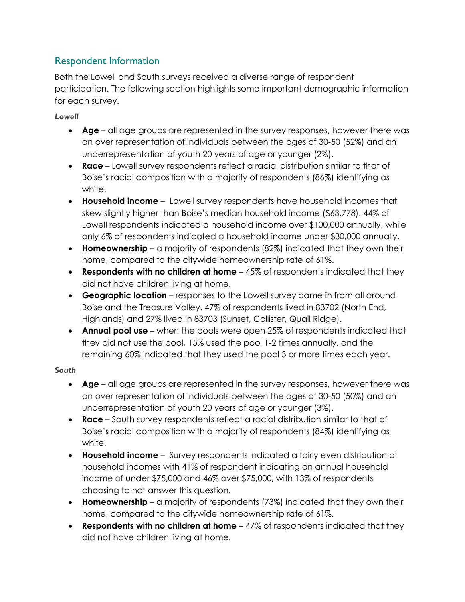## Respondent Information

Both the Lowell and South surveys received a diverse range of respondent participation. The following section highlights some important demographic information for each survey.

#### *Lowell*

- **Age** all age groups are represented in the survey responses, however there was an over representation of individuals between the ages of 30-50 (52%) and an underrepresentation of youth 20 years of age or younger (2%).
- **Race** Lowell survey respondents reflect a racial distribution similar to that of Boise's racial composition with a majority of respondents (86%) identifying as white.
- **Household income**  Lowell survey respondents have household incomes that skew slightly higher than Boise's median household income (\$63,778). 44% of Lowell respondents indicated a household income over \$100,000 annually, while only 6% of respondents indicated a household income under \$30,000 annually.
- **Homeownership**  a majority of respondents (82%) indicated that they own their home, compared to the citywide homeownership rate of 61%.
- **Respondents with no children at home** 45% of respondents indicated that they did not have children living at home.
- **Geographic location**  responses to the Lowell survey came in from all around Boise and the Treasure Valley. 47% of respondents lived in 83702 (North End, Highlands) and 27% lived in 83703 (Sunset, Collister, Quail Ridge).
- **Annual pool use** when the pools were open 25% of respondents indicated that they did not use the pool, 15% used the pool 1-2 times annually, and the remaining 60% indicated that they used the pool 3 or more times each year.

#### *South*

- **Age** all age groups are represented in the survey responses, however there was an over representation of individuals between the ages of 30-50 (50%) and an underrepresentation of youth 20 years of age or younger (3%).
- **Race** South survey respondents reflect a racial distribution similar to that of Boise's racial composition with a majority of respondents (84%) identifying as white.
- **Household income**  Survey respondents indicated a fairly even distribution of household incomes with 41% of respondent indicating an annual household income of under \$75,000 and 46% over \$75,000, with 13% of respondents choosing to not answer this question.
- **Homeownership**  a majority of respondents (73%) indicated that they own their home, compared to the citywide homeownership rate of 61%.
- **Respondents with no children at home** 47% of respondents indicated that they did not have children living at home.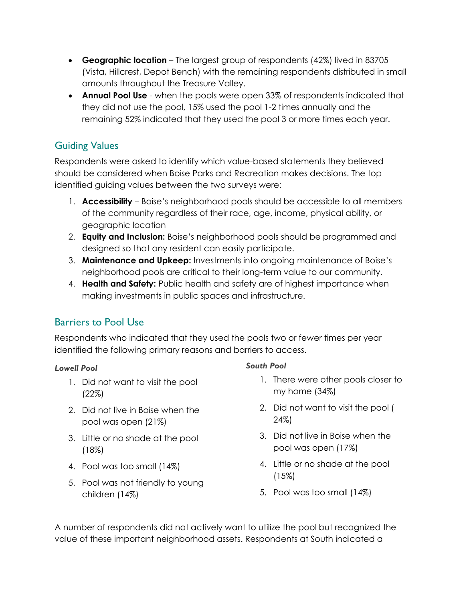- **Geographic location**  The largest group of respondents (42%) lived in 83705 (Vista, Hillcrest, Depot Bench) with the remaining respondents distributed in small amounts throughout the Treasure Valley.
- **Annual Pool Use**  when the pools were open 33% of respondents indicated that they did not use the pool, 15% used the pool 1-2 times annually and the remaining 52% indicated that they used the pool 3 or more times each year.

## Guiding Values

Respondents were asked to identify which value-based statements they believed should be considered when Boise Parks and Recreation makes decisions. The top identified guiding values between the two surveys were:

- 1. **Accessibility** Boise's neighborhood pools should be accessible to all members of the community regardless of their race, age, income, physical ability, or geographic location
- 2. **Equity and Inclusion:** Boise's neighborhood pools should be programmed and designed so that any resident can easily participate.
- 3. **Maintenance and Upkeep:** Investments into ongoing maintenance of Boise's neighborhood pools are critical to their long-term value to our community.
- 4. **Health and Safety:** Public health and safety are of highest importance when making investments in public spaces and infrastructure.

## Barriers to Pool Use

Respondents who indicated that they used the pools two or fewer times per year identified the following primary reasons and barriers to access.

#### *Lowell Pool*

- 1. Did not want to visit the pool (22%)
- 2. Did not live in Boise when the pool was open (21%)
- 3. Little or no shade at the pool (18%)
- 4. Pool was too small (14%)
- 5. Pool was not friendly to young children (14%)

#### *South Pool*

- 1. There were other pools closer to my home (34%)
- 2. Did not want to visit the pool ( 24%)
- 3. Did not live in Boise when the pool was open (17%)
- 4. Little or no shade at the pool (15%)
- 5. Pool was too small (14%)

A number of respondents did not actively want to utilize the pool but recognized the value of these important neighborhood assets. Respondents at South indicated a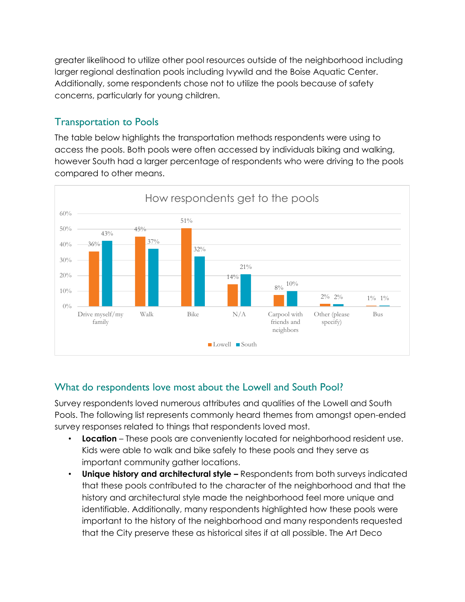greater likelihood to utilize other pool resources outside of the neighborhood including larger regional destination pools including Ivywild and the Boise Aquatic Center. Additionally, some respondents chose not to utilize the pools because of safety concerns, particularly for young children.

## Transportation to Pools

The table below highlights the transportation methods respondents were using to access the pools. Both pools were often accessed by individuals biking and walking, however South had a larger percentage of respondents who were driving to the pools compared to other means.



## What do respondents love most about the Lowell and South Pool?

Survey respondents loved numerous attributes and qualities of the Lowell and South Pools. The following list represents commonly heard themes from amongst open-ended survey responses related to things that respondents loved most.

- **Location** These pools are conveniently located for neighborhood resident use. Kids were able to walk and bike safely to these pools and they serve as important community gather locations.
- **Unique history and architectural style –** Respondents from both surveys indicated that these pools contributed to the character of the neighborhood and that the history and architectural style made the neighborhood feel more unique and identifiable. Additionally, many respondents highlighted how these pools were important to the history of the neighborhood and many respondents requested that the City preserve these as historical sites if at all possible. The Art Deco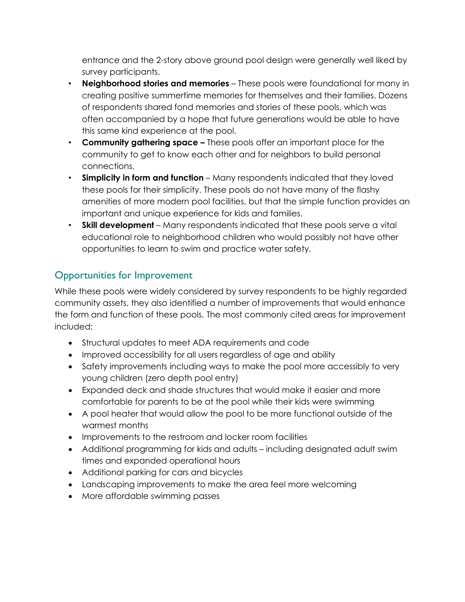entrance and the 2-story above ground pool design were generally well liked by survey participants.

- **Neighborhood stories and memories** These pools were foundational for many in creating positive summertime memories for themselves and their families. Dozens of respondents shared fond memories and stories of these pools, which was often accompanied by a hope that future generations would be able to have this same kind experience at the pool.
- **Community gathering space –** These pools offer an important place for the community to get to know each other and for neighbors to build personal connections.
- **Simplicity in form and function** Many respondents indicated that they loved these pools for their simplicity. These pools do not have many of the flashy amenities of more modern pool facilities, but that the simple function provides an important and unique experience for kids and families.
- **Skill development** Many respondents indicated that these pools serve a vital educational role to neighborhood children who would possibly not have other opportunities to learn to swim and practice water safety.

## Opportunities for Improvement

While these pools were widely considered by survey respondents to be highly regarded community assets, they also identified a number of improvements that would enhance the form and function of these pools. The most commonly cited areas for improvement included:

- Structural updates to meet ADA requirements and code
- Improved accessibility for all users regardless of age and ability
- Safety improvements including ways to make the pool more accessibly to very young children (zero depth pool entry)
- Expanded deck and shade structures that would make it easier and more comfortable for parents to be at the pool while their kids were swimming
- A pool heater that would allow the pool to be more functional outside of the warmest months
- Improvements to the restroom and locker room facilities
- Additional programming for kids and adults including designated adult swim times and expanded operational hours
- Additional parking for cars and bicycles
- Landscaping improvements to make the area feel more welcoming
- More affordable swimming passes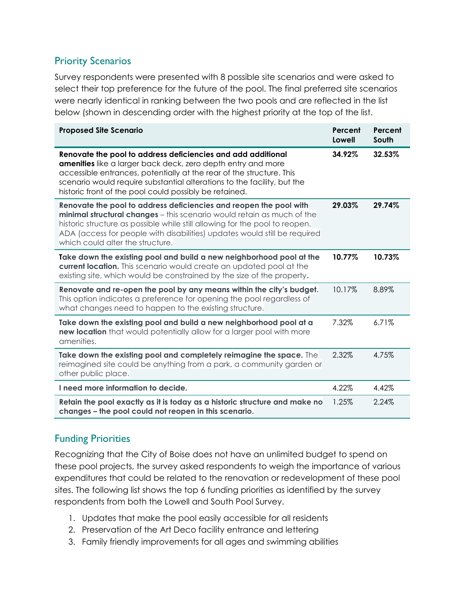### Priority Scenarios

Survey respondents were presented with 8 possible site scenarios and were asked to select their top preference for the future of the pool. The final preferred site scenarios were nearly identical in ranking between the two pools and are reflected in the list below (shown in descending order with the highest priority at the top of the list.

| <b>Proposed Site Scenario</b>                                                                                                                                                                                                                                                                                                                | Percent<br>Lowell | Percent<br>South |
|----------------------------------------------------------------------------------------------------------------------------------------------------------------------------------------------------------------------------------------------------------------------------------------------------------------------------------------------|-------------------|------------------|
| Renovate the pool to address deficiencies and add additional<br>amenities like a larger back deck, zero depth entry and more<br>accessible entrances, potentially at the rear of the structure. This<br>scenario would require substantial alterations to the facility, but the<br>historic front of the pool could possibly be retained.    | 34.92%            | 32.53%           |
| Renovate the pool to address deficiencies and reopen the pool with<br>minimal structural changes - this scenario would retain as much of the<br>historic structure as possible while still allowing for the pool to reopen.<br>ADA (access for people with disabilities) updates would still be required<br>which could alter the structure. | 29.03%            | 29.74%           |
| Take down the existing pool and build a new neighborhood pool at the<br>current location. This scenario would create an updated pool at the<br>existing site, which would be constrained by the size of the property.                                                                                                                        | 10.77%            | 10.73%           |
| Renovate and re-open the pool by any means within the city's budget.<br>This option indicates a preference for opening the pool regardless of<br>what changes need to happen to the existing structure.                                                                                                                                      | 10.17%            | 8.89%            |
| Take down the existing pool and build a new neighborhood pool at a<br>new location that would potentially allow for a larger pool with more<br>amenities.                                                                                                                                                                                    | 7.32%             | 6.71%            |
| Take down the existing pool and completely reimagine the space. The<br>reimagined site could be anything from a park, a community garden or<br>other public place.                                                                                                                                                                           | 2.32%             | 4.75%            |
| I need more information to decide.                                                                                                                                                                                                                                                                                                           | 4.22%             | 4.42%            |
| Retain the pool exactly as it is today as a historic structure and make no<br>changes - the pool could not reopen in this scenario.                                                                                                                                                                                                          | 1.25%             | 2.24%            |

## Funding Priorities

Recognizing that the City of Boise does not have an unlimited budget to spend on these pool projects, the survey asked respondents to weigh the importance of various expenditures that could be related to the renovation or redevelopment of these pool sites. The following list shows the top 6 funding priorities as identified by the survey respondents from both the Lowell and South Pool Survey.

- 1. Updates that make the pool easily accessible for all residents
- 2. Preservation of the Art Deco facility entrance and lettering
- 3. Family friendly improvements for all ages and swimming abilities